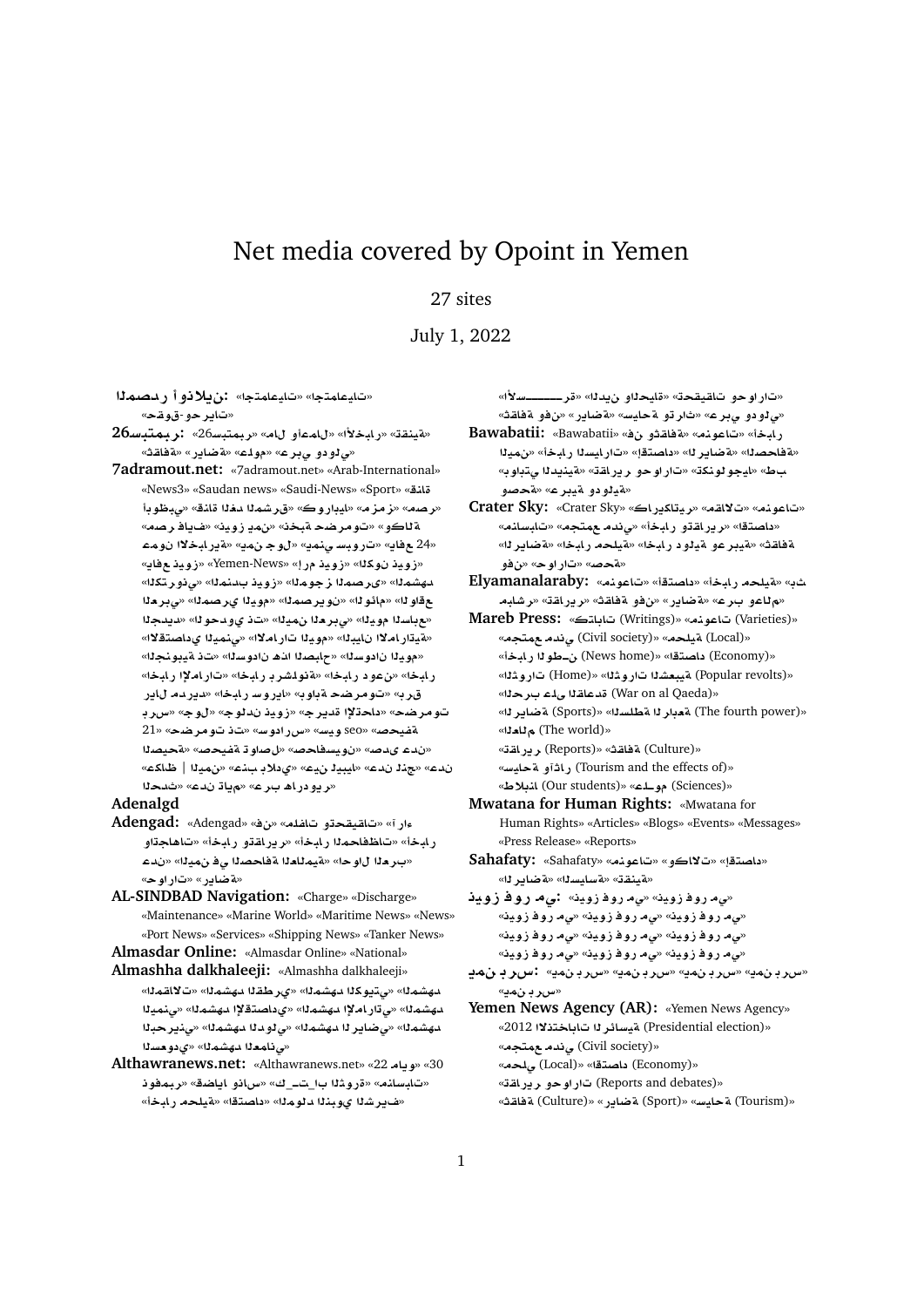## Net media covered by Opoint in Yemen

## 27 sites

## July 1, 2022

**mOdC ¤®§:** «**tmAyA**» «**tmAyA**» «**تاير حو-قوقح**»

- **26Fbtmbr:** «26**Fbtmbr**» «**A ¤mA**» «**±bAC**» «**qnyT**» «مى لو دو مى بر ع» «مولم» «**ةضاير» «ةفاق**ث»
- **7adramout.net:** «7adramout.net» «Arab-International» «News3» «Saudan news» «Saudi-News» «Sport» «**nA** «ر صه» «ز مز م» «ايڊار و ك» «قر شمال دفال قائلة» «ي.طوبا «**Or A§**» «**ywE §m**» «**bT Srw**» «**¤AT mw ¯bAC§T**» «**§m w**» «**§mn¨ FbwC**» «**§A** 24» «**§A ywE**» «Yemen-News» «**C ywE**» «**kw ywE**» دهشمـلـ» «ىرصمـلـا ز جومـلـ» «زويـذ بـدـنـمـلـا» «ي.نوـر تـكـلـا» **`r¨**» «**mOr© yw**» «**mOr§w** » «**w¶A**» «**w** «مع باسلا مويلا» «ي بر ملا نميلا» «ت *ذي و د*حو له» «ديدجلا «**لقيتار املاا نايبذا» «مويذا تار املا**ا» «ينميذا يداصت<mark>قلا</mark>ا» «مويذا نادوسنا» «جلبصنا الن**ه نادوسن**ا» «تذ ةيبونجنا» «**bAC ³AC**» «**bAC rJlwT**» «**bAC ¤**» «**bAC** قرب» «تومرضحةباوب» «ايروسـرلبخا» «ديردمـ للاير تومر ضح» «داحةلإا قديرج» «زويذ ندلوج» «لوج» «سرب 21» «**Srw** » «**Fw Cx**» «**Fyw** seo» «**}yfT** «ندء ىدصه» «نويسفاحصه» «ل صاوة ةفيحصه «ةحيصنا «**kA\_** | **ym**» «**n ® ©**» «**y ybyA**» «**d n**» «**d**  «**ريودراھ برع» «مڀاڌ ندع» «ثدحل**ا

## **Adenalgd**

- **Adengad:** «Adengad» «» «**lfA ¤qyqA**» «**Cº** ر ابخأ» «تاظفاحملا ر ابخأ» «ر ير اقتو ر ابخأ» «تاهاجتاو «بر دا لاو حا» «ةيمـللدا ةفلحصـلا ي\_فــنميـلـا» «نـ*د*ء «**wC**» «**C§ART**»
- **AL-SINDBAD Navigation:** «Charge» «Discharge» «Maintenance» «Marine World» «Maritime News» «News» «Port News» «Services» «Shipping News» «Tanker News»

**Almasdar Online:** «Almasdar Online» «National»

- **Almashha dalkhaleeji:** «Almashha dalkhaleeji» دهشمذا» «ي.تيوكذا دهشمذا» «ير طقذا دهشمذا» «تلااقمذا» دهشم<sup>و</sup>ا» «ي تار املاً دهشم<sup>و</sup>ا» «ي داصتقلاً دهشم<sup>و</sup>ا» «ي نميزاً دهشمذا» «ى ضاير ذا دهشمذا» «ى نودنا دهشمذا» «ىنير حبذا «بي نامعنا مهشمنا» «ي دو مسنا
- **Althawranews.net:** «Althawranews.net» «22 **A§w**» «30 «تابسانه» «ةروثـ1ا بـا\_تــ\_ك» «سانو اياضة» «ربمفونـ «ف1. شدا يوبندا دلومدا» «داصت**قا» «**ميلحد رايخاً»

«**±Fþþþþþþr**» «**d§ ¤yA**» «**qyqA ¤wC**» «*ي* لو دو پېر ع» «ثار تو لقحليس» «قضاير » «نفو لقفاقته»

- **Bawabatii:** «Bawabatii» « **¤qAT**» «**nwA**» «**bAC** «مة فاحصنا» «مة ضاير نا» «داصتقإ» «تار ايسنا رابخأ» «نمينا  $\psi$ » «بايجو لونكة» «تار او حو ر ير اقة» «ةينيدلا يتباو به «**تي**لودو ټيبرع» «قحصو
- **Crater Sky:** «Crater Sky» «**AC§kAyr**» «**qA¯**» «**nwA**» «داصتقا» «رير اقتو رابخأ» «ى ندم مهتجم» «تابسانم» «**r§ART**» «**bAC lyT**» «**bAC ¤yT ¤ryT**» «**qAT ¤**» «**wC**» «**}T**»

**Elyamanalaraby:** «**nwA**» «**tOA** » «**bAC lyT**» « «م للعو برع» «ةضاير» «نفو ةفاقث» «ريراقة» «رشابه

- **Mareb Press:** «**tAA** (Writings)» «**nwA** (Varieties)» «Local) **تيلحه» «Civil society) ي ندم عمتجه**» «**Economy) داصت**قا» «(News home) ، فطو لا ربابيخة» «Popular revolts)» «**AC** الميعشد اتار و شله» «Home) تار و شله» «**War on al Qaeda)) قدعاقـالى لـْـمـ بـر حـا**له» «**r§ART** (Sports)» «**slWT r`T** (The fourth power)» «**`A** (The world)» «Culture) **ةفاق**ث» «Reports) ريرا**ق**ت» «**Tourism and the effects of)** راث**آو ق**حليسه «**V®nA** (Our students)» «**lþw** (Sciences)»
- **Mwatana for Human Rights:** «Mwatana for Human Rights» «Articles» «Blogs» «Events» «Messages» «Press Release» «Reports»
- **Sahafaty:** «Sahafaty» «**nwA**» «**¤A¯**» «**tOA** » «**بةينق**ق» «**قسايسن**ا» «**قضاير**نا»

«*ي*ه روفازوينه «يµ روفازوينه **∶ىµ روفازويذ** «*ي*ه روفازوين» «ي، روفازوين» «ي، روفازوينه «*پیم* روفازوین» «*یم* روفازوین» «یم روفازوین» «*پيم* روفازوين» «ي، روفازوين» «ي، روفازوين»

- **§m rx:** «**§m rx**» «**§m rx**» «**§m rx**» «**§m rx**» «*سرد و نم*ڍ»
- Yemen News Agency (AR): «Yemen News Agency» «Presidential election) a تيسائر لـ ا تاباختذلا 2012» «**Civil society) ى ندم م** متجم» «**Local**)» «اصتقا» «(Local) و (Economy) «Reports and debates) تار او حو بر بر ا**ق**ت»

«Tourism) **ة ح**ابس» «Sport) **ةضادر** » «Culture) **ةفاق**ث»